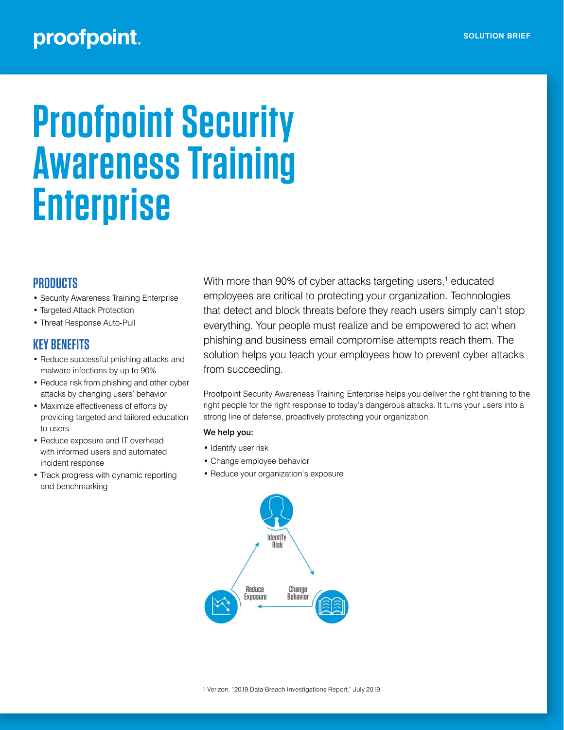## proofpoint.

# **Proofpoint Security Awareness Training Enterprise**

## **PRODUCTS**

- Security Awareness Training Enterprise
- Targeted Attack Protection
- Threat Response Auto-Pull

## **KEY BENEFITS**

- Reduce successful phishing attacks and malware infections by up to 90%
- Reduce risk from phishing and other cyber attacks by changing users' behavior
- Maximize effectiveness of efforts by providing targeted and tailored education to users
- Reduce exposure and IT overhead with informed users and automated incident response
- Track progress with dynamic reporting and benchmarking

With more than 90% of cyber attacks targeting users,<sup>1</sup> educated employees are critical to protecting your organization. Technologies that detect and block threats before they reach users simply can't stop everything. Your people must realize and be empowered to act when phishing and business email compromise attempts reach them. The solution helps you teach your employees how to prevent cyber attacks from succeeding.

Proofpoint Security Awareness Training Enterprise helps you deliver the right training to the right people for the right response to today's dangerous attacks. It turns your users into a strong line of defense, proactively protecting your organization.

#### We help you:

- Identify user risk
- Change employee behavior
- Reduce your organization's exposure

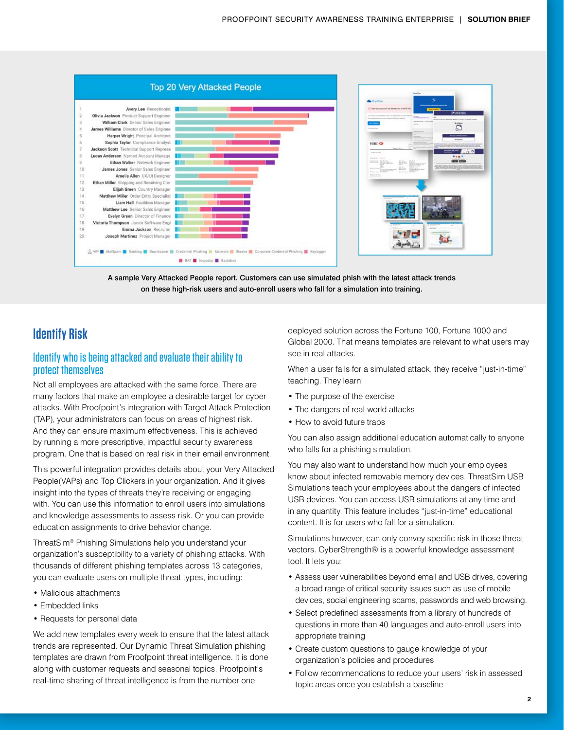



## **Identify Risk**

## Identify who is being attacked and evaluate their ability to protect themselves

Not all employees are attacked with the same force. There are many factors that make an employee a desirable target for cyber attacks. With Proofpoint's integration with Target Attack Protection (TAP), your administrators can focus on areas of highest risk. And they can ensure maximum effectiveness. This is achieved by running a more prescriptive, impactful security awareness program. One that is based on real risk in their email environment.

This powerful integration provides details about your Very Attacked People(VAPs) and Top Clickers in your organization. And it gives insight into the types of threats they're receiving or engaging with. You can use this information to enroll users into simulations and knowledge assessments to assess risk. Or you can provide education assignments to drive behavior change.

ThreatSim® Phishing Simulations help you understand your organization's susceptibility to a variety of phishing attacks. With thousands of different phishing templates across 13 categories, you can evaluate users on multiple threat types, including:

- Malicious attachments
- Embedded links
- Requests for personal data

We add new templates every week to ensure that the latest attack trends are represented. Our Dynamic Threat Simulation phishing templates are drawn from Proofpoint threat intelligence. It is done along with customer requests and seasonal topics. Proofpoint's real-time sharing of threat intelligence is from the number one

deployed solution across the Fortune 100, Fortune 1000 and Global 2000. That means templates are relevant to what users may see in real attacks.

When a user falls for a simulated attack, they receive "just-in-time" teaching. They learn:

- The purpose of the exercise
- The dangers of real-world attacks
- How to avoid future traps

You can also assign additional education automatically to anyone who falls for a phishing simulation.

You may also want to understand how much your employees know about infected removable memory devices. ThreatSim USB Simulations teach your employees about the dangers of infected USB devices. You can access USB simulations at any time and in any quantity. This feature includes "just-in-time" educational content. It is for users who fall for a simulation.

Simulations however, can only convey specific risk in those threat vectors. CyberStrength® is a powerful knowledge assessment tool. It lets you:

- Assess user vulnerabilities beyond email and USB drives, covering a broad range of critical security issues such as use of mobile devices, social engineering scams, passwords and web browsing.
- Select predefined assessments from a library of hundreds of questions in more than 40 languages and auto-enroll users into appropriate training
- Create custom questions to gauge knowledge of your organization's policies and procedures
- Follow recommendations to reduce your users' risk in assessed topic areas once you establish a baseline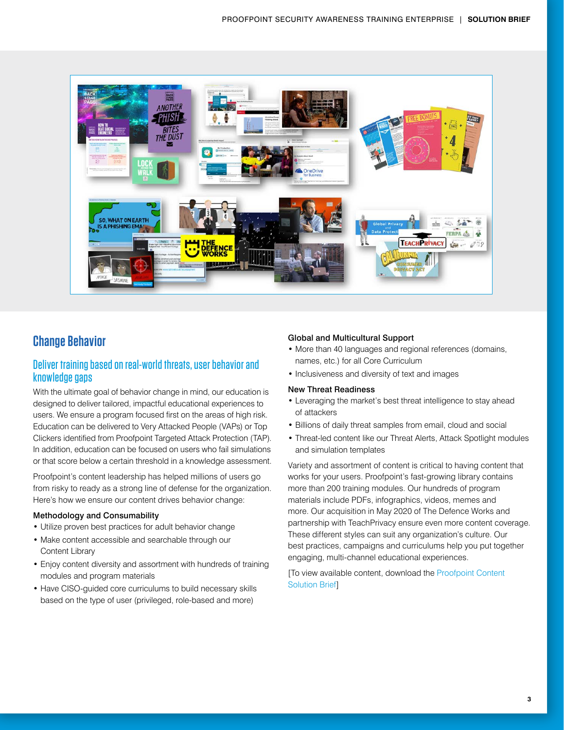

## **Change Behavior**

## Deliver training based on real-world threats, user behavior and knowledge gaps

With the ultimate goal of behavior change in mind, our education is designed to deliver tailored, impactful educational experiences to users. We ensure a program focused first on the areas of high risk. Education can be delivered to Very Attacked People (VAPs) or Top Clickers identified from Proofpoint Targeted Attack Protection (TAP). In addition, education can be focused on users who fail simulations or that score below a certain threshold in a knowledge assessment.

Proofpoint's content leadership has helped millions of users go from risky to ready as a strong line of defense for the organization. Here's how we ensure our content drives behavior change:

#### Methodology and Consumability

- Utilize proven best practices for adult behavior change
- Make content accessible and searchable through our Content Library
- Enjoy content diversity and assortment with hundreds of training modules and program materials
- Have CISO-guided core curriculums to build necessary skills based on the type of user (privileged, role-based and more)

#### Global and Multicultural Support

- More than 40 languages and regional references (domains, names, etc.) for all Core Curriculum
- Inclusiveness and diversity of text and images

#### New Threat Readiness

- Leveraging the market's best threat intelligence to stay ahead of attackers
- Billions of daily threat samples from email, cloud and social
- Threat-led content like our Threat Alerts, Attack Spotlight modules and simulation templates

Variety and assortment of content is critical to having content that works for your users. Proofpoint's fast-growing library contains more than 200 training modules. Our hundreds of program materials include PDFs, infographics, videos, memes and more. Our acquisition in May 2020 of The Defence Works and partnership with TeachPrivacy ensure even more content coverage. These different styles can suit any organization's culture. Our best practices, campaigns and curriculums help you put together engaging, multi-channel educational experiences.

[To view available content, download the [Proofpoint Content](https://www.proofpoint.com/us/resources/solution-briefs/proofpoint-security-awareness-training-content)  [Solution Brief](https://www.proofpoint.com/us/resources/solution-briefs/proofpoint-security-awareness-training-content)]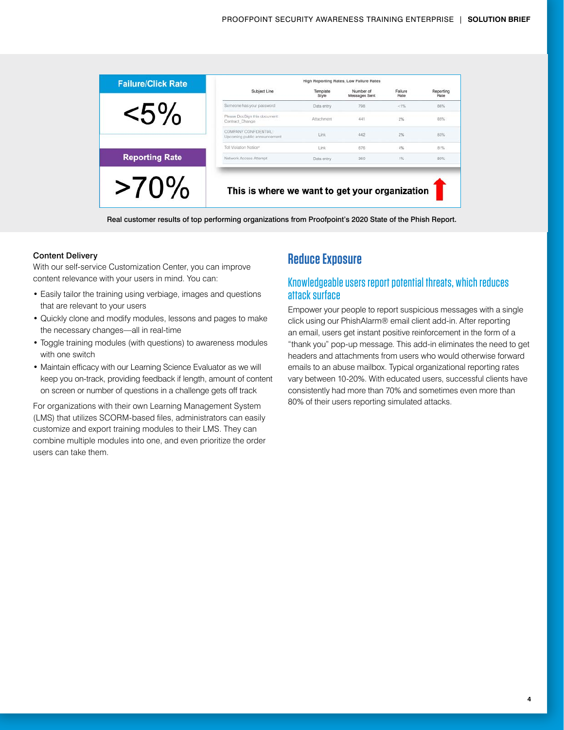| <b>Failure/Click Rate</b> | High Reporting Rates, Low Failure Rates               |                   |                            |                 |                   |
|---------------------------|-------------------------------------------------------|-------------------|----------------------------|-----------------|-------------------|
|                           | Subject Line                                          | Template<br>Style | Number of<br>Messages Sent | Failure<br>Rate | Reporting<br>Rate |
|                           | Someone has your password                             | Data entry        | 798                        | < 1%            | 86%               |
| $<$ 5%                    | Please DocSign this document:<br>Contract Change      | Attachment        | 441                        | 2%              | 85%               |
|                           | COMPANY CONFIDENTIAL:<br>Upcoming public announcement | Link              | 442                        | 2%              | 83%               |
|                           | Toll Violation Notice <sup>®</sup>                    | Link              | 676                        | 4%              | 81%               |
| <b>Reporting Rate</b>     | Network Access Attempt                                | Data entry        | 360                        | 1%              | 80%               |
| $>$ /U $\frac{9}{7}$      | This is where we want to get your organization        |                   |                            |                 |                   |

Real customer results of top performing organizations from Proofpoint's 2020 State of the Phish Report.

#### Content Delivery

With our self-service Customization Center, you can improve content relevance with your users in mind. You can:

- Easily tailor the training using verbiage, images and questions that are relevant to your users
- Quickly clone and modify modules, lessons and pages to make the necessary changes—all in real-time
- Toggle training modules (with questions) to awareness modules with one switch
- Maintain efficacy with our Learning Science Evaluator as we will keep you on-track, providing feedback if length, amount of content on screen or number of questions in a challenge gets off track

For organizations with their own Learning Management System (LMS) that utilizes SCORM-based files, administrators can easily customize and export training modules to their LMS. They can combine multiple modules into one, and even prioritize the order users can take them.

## **Reduce Exposure**

## Knowledgeable users report potential threats, which reduces attack surface

Empower your people to report suspicious messages with a single click using our PhishAlarm® email client add-in. After reporting an email, users get instant positive reinforcement in the form of a "thank you" pop-up message. This add-in eliminates the need to get headers and attachments from users who would otherwise forward emails to an abuse mailbox. Typical organizational reporting rates vary between 10-20%. With educated users, successful clients have consistently had more than 70% and sometimes even more than 80% of their users reporting simulated attacks.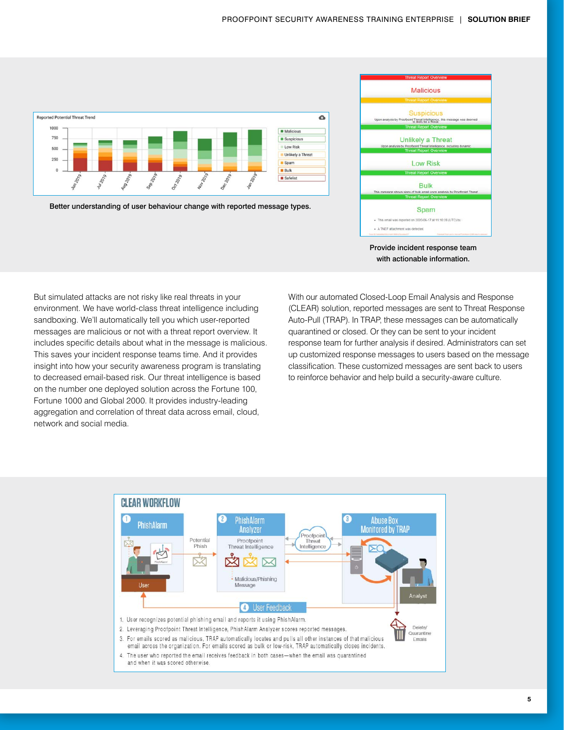

Better understanding of user behaviour change with reported message types.



Provide incident response team with actionable information.

But simulated attacks are not risky like real threats in your environment. We have world-class threat intelligence including sandboxing. We'll automatically tell you which user-reported messages are malicious or not with a threat report overview. It includes specific details about what in the message is malicious. This saves your incident response teams time. And it provides insight into how your security awareness program is translating to decreased email-based risk. Our threat intelligence is based on the number one deployed solution across the Fortune 100, Fortune 1000 and Global 2000. It provides industry-leading aggregation and correlation of threat data across email, cloud, network and social media.

With our automated Closed-Loop Email Analysis and Response (CLEAR) solution, reported messages are sent to Threat Response Auto-Pull (TRAP). In TRAP, these messages can be automatically quarantined or closed. Or they can be sent to your incident response team for further analysis if desired. Administrators can set up customized response messages to users based on the message classification. These customized messages are sent back to users to reinforce behavior and help build a security-aware culture.